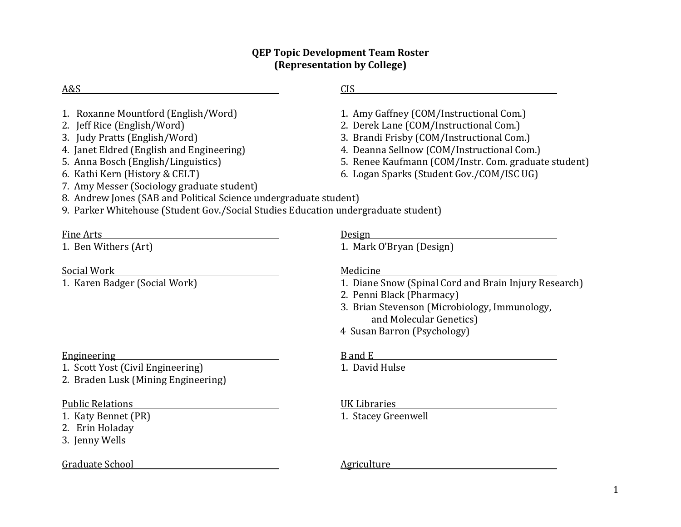## **QEP Topic Development Team Roster (Representation by College)**

| A&S                                                                                                                                                                                                                                                                                                                                                                                                                                | <b>CIS</b>                                                                                                                                                                                                                                                                        |
|------------------------------------------------------------------------------------------------------------------------------------------------------------------------------------------------------------------------------------------------------------------------------------------------------------------------------------------------------------------------------------------------------------------------------------|-----------------------------------------------------------------------------------------------------------------------------------------------------------------------------------------------------------------------------------------------------------------------------------|
| 1. Roxanne Mountford (English/Word)<br>2. Jeff Rice (English/Word)<br>3. Judy Pratts (English/Word)<br>4. Janet Eldred (English and Engineering)<br>5. Anna Bosch (English/Linguistics)<br>6. Kathi Kern (History & CELT)<br>7. Amy Messer (Sociology graduate student)<br>8. Andrew Jones (SAB and Political Science undergraduate student)<br>9. Parker Whitehouse (Student Gov./Social Studies Education undergraduate student) | 1. Amy Gaffney (COM/Instructional Com.)<br>2. Derek Lane (COM/Instructional Com.)<br>3. Brandi Frisby (COM/Instructional Com.)<br>4. Deanna Sellnow (COM/Instructional Com.)<br>5. Renee Kaufmann (COM/Instr. Com. graduate student)<br>6. Logan Sparks (Student Gov./COM/ISC UG) |
| Fine Arts<br>1. Ben Withers (Art)                                                                                                                                                                                                                                                                                                                                                                                                  | Design<br>1. Mark O'Bryan (Design)                                                                                                                                                                                                                                                |
| Social Work<br>1. Karen Badger (Social Work)                                                                                                                                                                                                                                                                                                                                                                                       | Medicine<br>1. Diane Snow (Spinal Cord and Brain Injury Research)<br>2. Penni Black (Pharmacy)<br>3. Brian Stevenson (Microbiology, Immunology,<br>and Molecular Genetics)<br>4 Susan Barron (Psychology)                                                                         |
| <b>Engineering</b><br>1. Scott Yost (Civil Engineering)<br>2. Braden Lusk (Mining Engineering)                                                                                                                                                                                                                                                                                                                                     | $B$ and $E$<br>1. David Hulse                                                                                                                                                                                                                                                     |
| <b>Public Relations</b><br>1. Katy Bennet (PR)<br>2. Erin Holaday<br>3. Jenny Wells                                                                                                                                                                                                                                                                                                                                                | <b>UK Libraries</b><br>1. Stacey Greenwell                                                                                                                                                                                                                                        |
| <b>Graduate School</b>                                                                                                                                                                                                                                                                                                                                                                                                             | <b>Agriculture</b>                                                                                                                                                                                                                                                                |